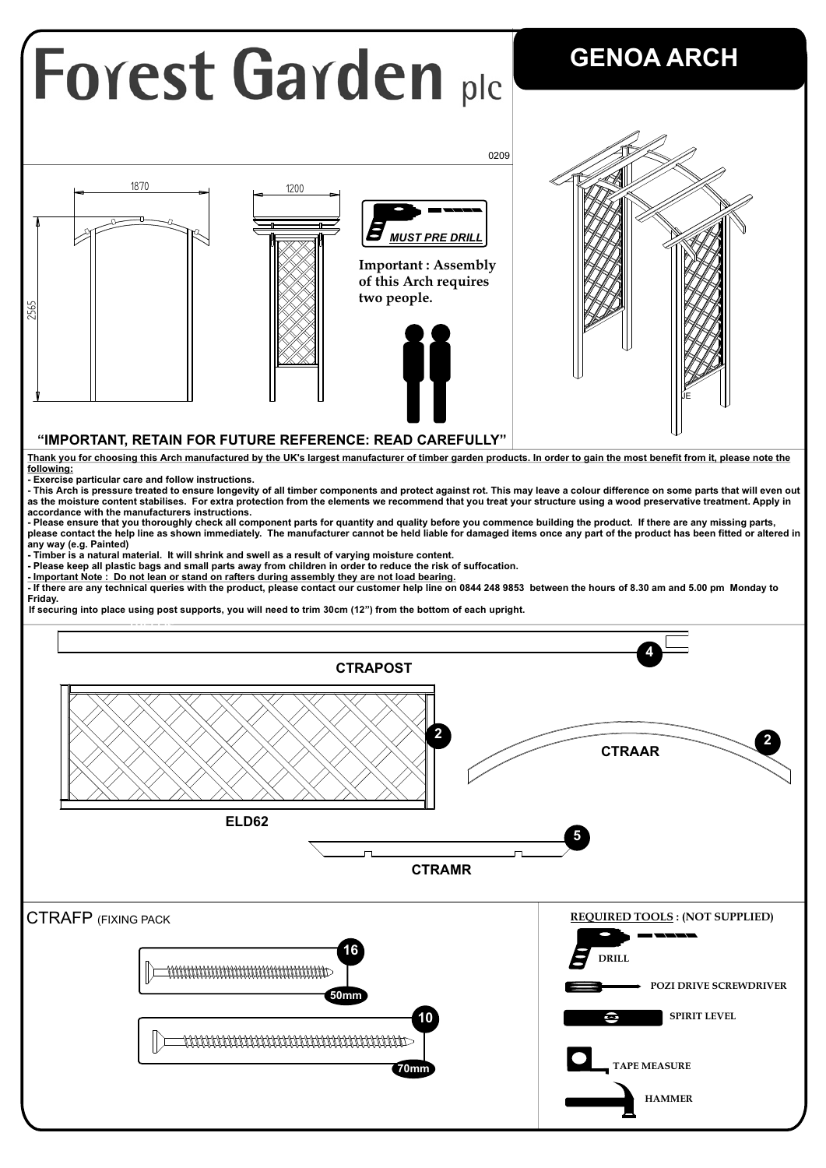## **Forest Garden plc**

## **GENOA ARCH**